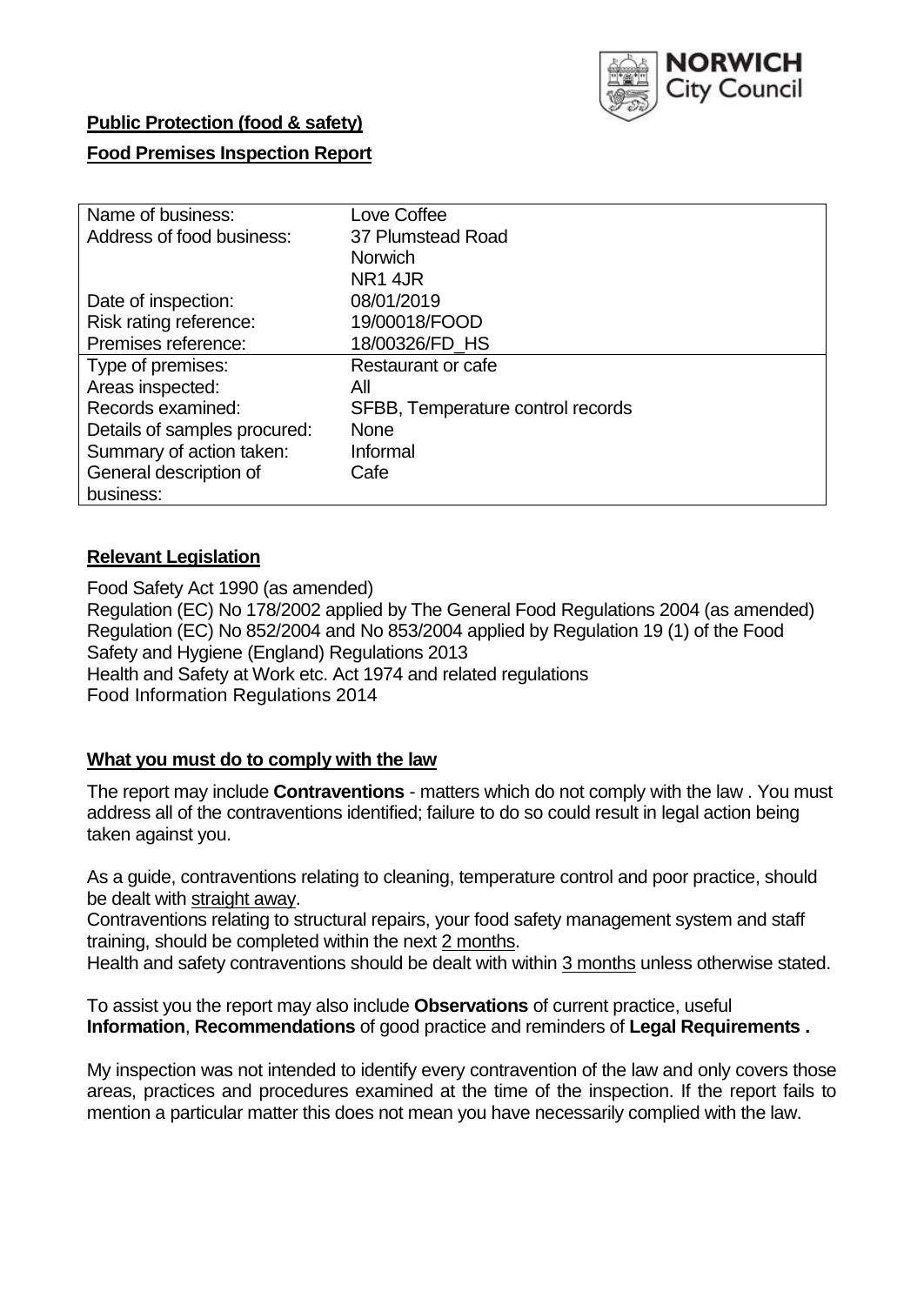

# **Public Protection (food & safety)**

# **Food Premises Inspection Report**

| Name of business:            | Love Coffee                       |
|------------------------------|-----------------------------------|
| Address of food business:    | 37 Plumstead Road                 |
|                              | <b>Norwich</b>                    |
|                              | <b>NR1 4JR</b>                    |
| Date of inspection:          | 08/01/2019                        |
| Risk rating reference:       | 19/00018/FOOD                     |
| Premises reference:          | 18/00326/FD HS                    |
| Type of premises:            | Restaurant or cafe                |
| Areas inspected:             | All                               |
| Records examined:            | SFBB, Temperature control records |
| Details of samples procured: | <b>None</b>                       |
| Summary of action taken:     | Informal                          |
| General description of       | Cafe                              |
| business:                    |                                   |

## **Relevant Legislation**

Food Safety Act 1990 (as amended) Regulation (EC) No 178/2002 applied by The General Food Regulations 2004 (as amended) Regulation (EC) No 852/2004 and No 853/2004 applied by Regulation 19 (1) of the Food Safety and Hygiene (England) Regulations 2013 Health and Safety at Work etc. Act 1974 and related regulations Food Information Regulations 2014

# **What you must do to comply with the law**

The report may include **Contraventions** - matters which do not comply with the law . You must address all of the contraventions identified; failure to do so could result in legal action being taken against you.

As a guide, contraventions relating to cleaning, temperature control and poor practice, should be dealt with straight away.

Contraventions relating to structural repairs, your food safety management system and staff training, should be completed within the next 2 months.

Health and safety contraventions should be dealt with within 3 months unless otherwise stated.

To assist you the report may also include **Observations** of current practice, useful **Information**, **Recommendations** of good practice and reminders of **Legal Requirements .**

My inspection was not intended to identify every contravention of the law and only covers those areas, practices and procedures examined at the time of the inspection. If the report fails to mention a particular matter this does not mean you have necessarily complied with the law.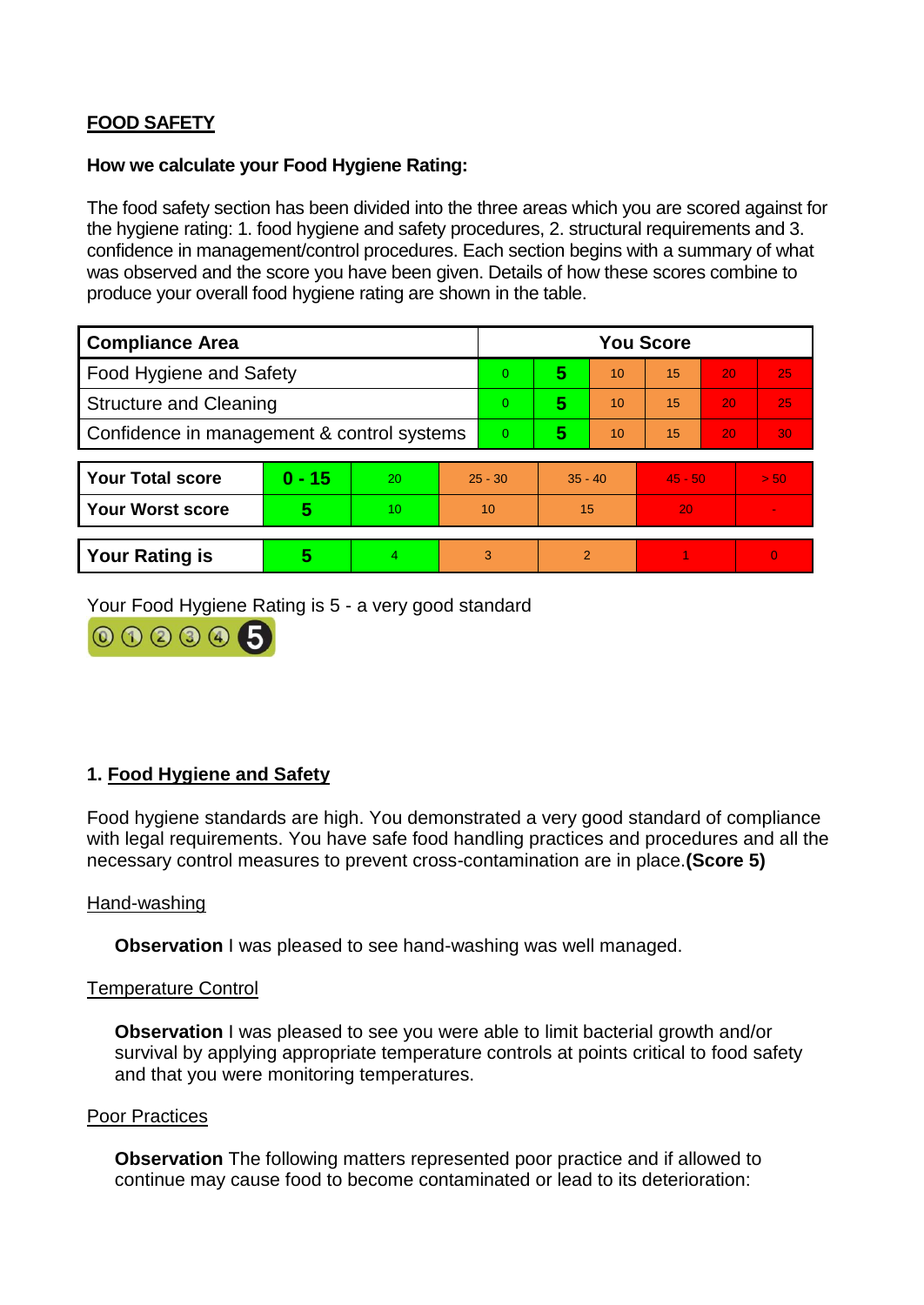# **FOOD SAFETY**

## **How we calculate your Food Hygiene Rating:**

The food safety section has been divided into the three areas which you are scored against for the hygiene rating: 1. food hygiene and safety procedures, 2. structural requirements and 3. confidence in management/control procedures. Each section begins with a summary of what was observed and the score you have been given. Details of how these scores combine to produce your overall food hygiene rating are shown in the table.

| <b>Compliance Area</b>                     |          |    |           | <b>You Score</b> |                |    |           |    |                |  |  |
|--------------------------------------------|----------|----|-----------|------------------|----------------|----|-----------|----|----------------|--|--|
| Food Hygiene and Safety                    |          |    |           | $\overline{0}$   | 5              | 10 | 15        | 20 | 25             |  |  |
| <b>Structure and Cleaning</b>              |          |    | $\Omega$  | 5                | 10             | 15 | 20        | 25 |                |  |  |
| Confidence in management & control systems |          |    | $\Omega$  | 5                | 10             | 15 | 20        | 30 |                |  |  |
|                                            |          |    |           |                  |                |    |           |    |                |  |  |
| <b>Your Total score</b>                    | $0 - 15$ | 20 | $25 - 30$ |                  | $35 - 40$      |    | $45 - 50$ |    | > 50           |  |  |
| <b>Your Worst score</b>                    | 5        | 10 | 10        |                  | 15             |    | 20        |    | $\blacksquare$ |  |  |
|                                            |          |    |           |                  |                |    |           |    |                |  |  |
| <b>Your Rating is</b>                      | 5        | 4  |           | 3                | $\overline{2}$ |    |           |    | $\Omega$       |  |  |

Your Food Hygiene Rating is 5 - a very good standard



# **1. Food Hygiene and Safety**

Food hygiene standards are high. You demonstrated a very good standard of compliance with legal requirements. You have safe food handling practices and procedures and all the necessary control measures to prevent cross-contamination are in place.**(Score 5)**

#### Hand-washing

**Observation** I was pleased to see hand-washing was well managed.

## Temperature Control

**Observation** I was pleased to see you were able to limit bacterial growth and/or survival by applying appropriate temperature controls at points critical to food safety and that you were monitoring temperatures.

## Poor Practices

**Observation** The following matters represented poor practice and if allowed to continue may cause food to become contaminated or lead to its deterioration: